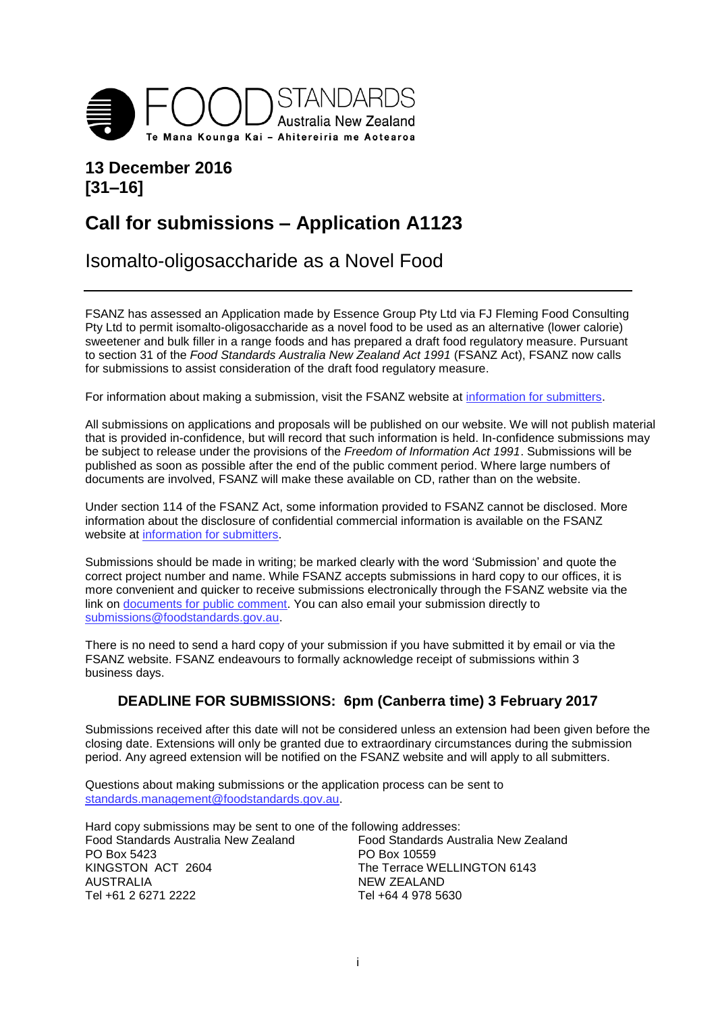

# **13 December 2016 [31–16]**

# **Call for submissions – Application A1123**

Isomalto-oligosaccharide as a Novel Food

FSANZ has assessed an Application made by Essence Group Pty Ltd via FJ Fleming Food Consulting Pty Ltd to permit isomalto-oligosaccharide as a novel food to be used as an alternative (lower calorie) sweetener and bulk filler in a range foods and has prepared a draft food regulatory measure. Pursuant to section 31 of the *Food Standards Australia New Zealand Act 1991* (FSANZ Act), FSANZ now calls for submissions to assist consideration of the draft food regulatory measure.

For information about making a submission, visit the FSANZ website at [information for submitters.](http://www.foodstandards.gov.au/code/changes/submission/Pages/default.aspx)

All submissions on applications and proposals will be published on our website. We will not publish material that is provided in-confidence, but will record that such information is held. In-confidence submissions may be subject to release under the provisions of the *Freedom of Information Act 1991*. Submissions will be published as soon as possible after the end of the public comment period. Where large numbers of documents are involved, FSANZ will make these available on CD, rather than on the website.

Under section 114 of the FSANZ Act, some information provided to FSANZ cannot be disclosed. More information about the disclosure of confidential commercial information is available on the FSANZ website at [information for submitters.](http://www.foodstandards.gov.au/code/changes/submission/Pages/default.aspx)

Submissions should be made in writing; be marked clearly with the word 'Submission' and quote the correct project number and name. While FSANZ accepts submissions in hard copy to our offices, it is more convenient and quicker to receive submissions electronically through the FSANZ website via the link on [documents for public comment.](http://www.foodstandards.gov.au/code/changes/Pages/Documents-for-public-comment.aspx) You can also email your submission directly to [submissions@foodstandards.gov.au.](mailto:submissions@foodstandards.gov.au)

There is no need to send a hard copy of your submission if you have submitted it by email or via the FSANZ website. FSANZ endeavours to formally acknowledge receipt of submissions within 3 business days.

#### **DEADLINE FOR SUBMISSIONS: 6pm (Canberra time) 3 February 2017**

Submissions received after this date will not be considered unless an extension had been given before the closing date. Extensions will only be granted due to extraordinary circumstances during the submission period. Any agreed extension will be notified on the FSANZ website and will apply to all submitters.

Questions about making submissions or the application process can be sent to [standards.management@foodstandards.gov.au.](mailto:standards.management@foodstandards.gov.au)

Hard copy submissions may be sent to one of the following addresses: Food Standards Australia New Zealand Food Standards Australia New Zealand PO Box 5423 PO Box 10559<br>KINGSTON ACT 2604 The Terrace W The Terrace WELLINGTON 6143 AUSTRALIA NEW ZEALAND Tel +61 2 6271 2222 Tel +64 4 978 5630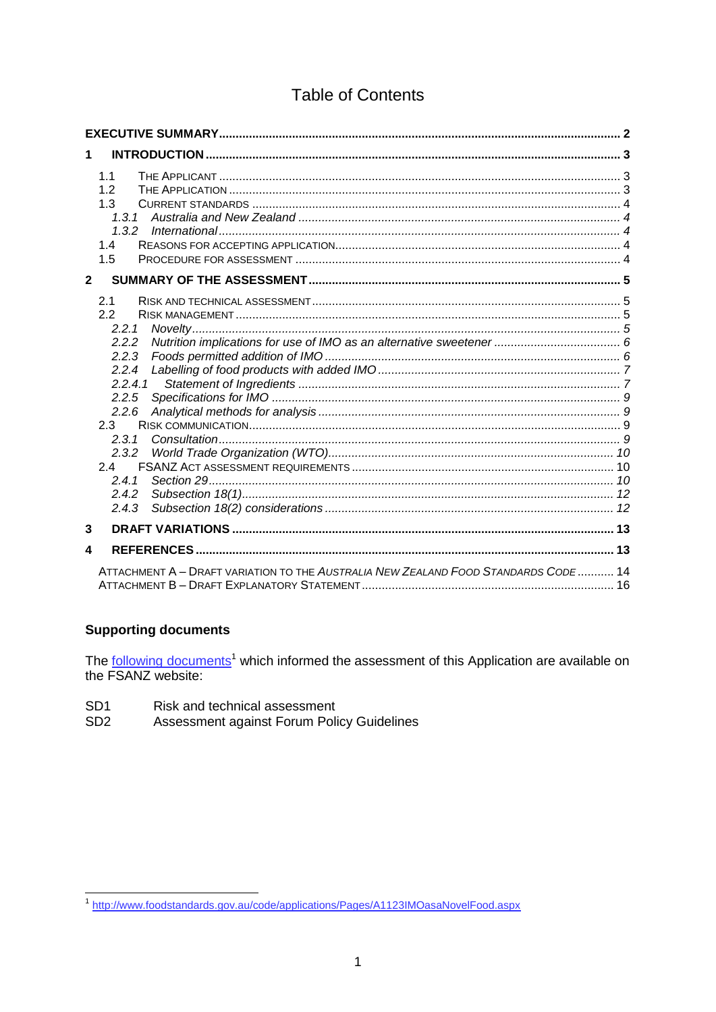# **Table of Contents**

| 1            |                                                                                    |  |
|--------------|------------------------------------------------------------------------------------|--|
|              | 1.1<br>1.2<br>1.3<br>1.4<br>1.5                                                    |  |
| $\mathbf{2}$ |                                                                                    |  |
|              | 2.1<br>2.2<br>2.2.1                                                                |  |
|              | 2.2.2<br>2.2.3<br>2.2.4                                                            |  |
|              | 2.2.4.1<br>2.2.5<br>2.2.6<br>2.3                                                   |  |
|              | 2.3.1<br>2.4                                                                       |  |
|              | 2.4.1<br>2.4.2<br>2.4.3                                                            |  |
| 3            |                                                                                    |  |
| 4            |                                                                                    |  |
|              | ATTACHMENT A - DRAFT VARIATION TO THE AUSTRALIA NEW ZEALAND FOOD STANDARDS CODE 14 |  |

### **Supporting documents**

The following documents<sup>1</sup> which informed the assessment of this Application are available on the FSANZ website:

- Risk and technical assessment SD<sub>1</sub>
- Assessment against Forum Policy Guidelines SD<sub>2</sub>

<sup>&</sup>lt;sup>1</sup>http://www.foodstandards.gov.au/code/applications/Pages/A1123IMOasaNovelFood.aspx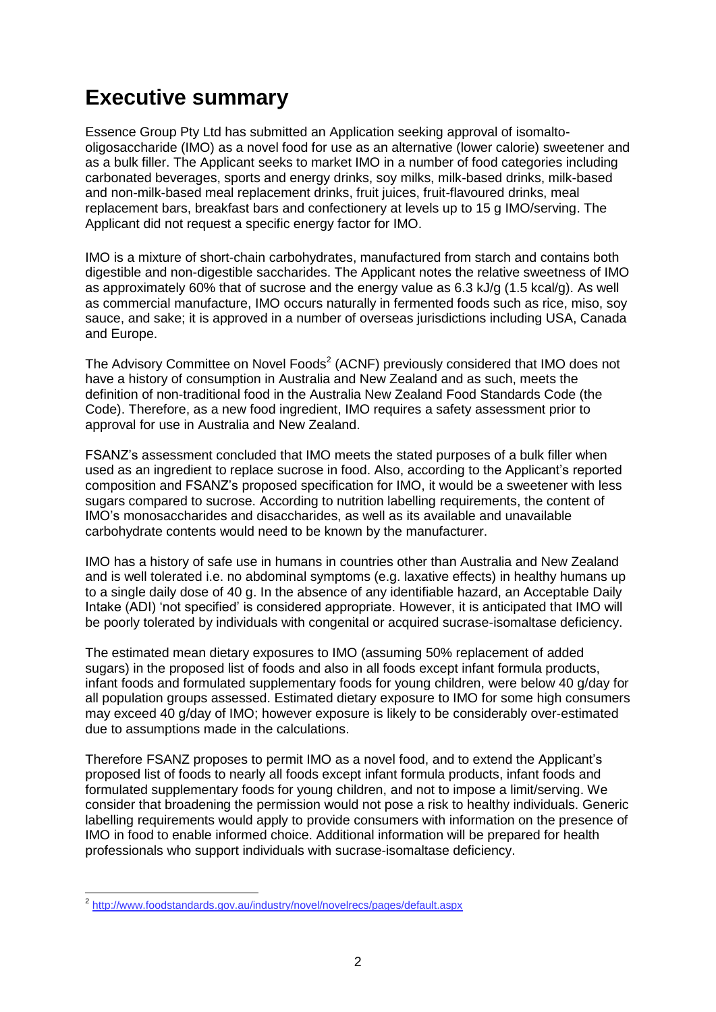# <span id="page-2-0"></span>**Executive summary**

Essence Group Pty Ltd has submitted an Application seeking approval of isomaltooligosaccharide (IMO) as a novel food for use as an alternative (lower calorie) sweetener and as a bulk filler. The Applicant seeks to market IMO in a number of food categories including carbonated beverages, sports and energy drinks, soy milks, milk-based drinks, milk-based and non-milk-based meal replacement drinks, fruit juices, fruit-flavoured drinks, meal replacement bars, breakfast bars and confectionery at levels up to 15 g IMO/serving. The Applicant did not request a specific energy factor for IMO.

IMO is a mixture of short-chain [carbohydrates,](https://en.wikipedia.org/wiki/Carbohydrate) manufactured from starch and contains both digestible and non-digestible saccharides. The Applicant notes the relative sweetness of IMO as approximately 60% that of sucrose and the energy value as 6.3 kJ/g (1.5 kcal/g). As well as commercial manufacture, IMO occurs naturally in fermented foods such as rice, miso, soy sauce, and sake; it is approved in a number of overseas jurisdictions including USA, Canada and Europe.

The [Advisory Committee on Novel Foods](http://www.foodstandards.gov.au/industry/novel/novelrecs/pages/default.aspx)<sup>2</sup> (ACNF) previously considered that IMO does not have a history of consumption in Australia and New Zealand and as such, meets the definition of non-traditional food in the Australia New Zealand Food Standards Code (the Code). Therefore, as a new food ingredient, IMO requires a safety assessment prior to approval for use in Australia and New Zealand.

FSANZ's assessment concluded that IMO meets the stated purposes of a bulk filler when used as an ingredient to replace sucrose in food. Also, according to the Applicant's reported composition and FSANZ's proposed specification for IMO, it would be a sweetener with less sugars compared to sucrose. According to nutrition labelling requirements, the content of IMO's monosaccharides and disaccharides, as well as its available and unavailable carbohydrate contents would need to be known by the manufacturer.

IMO has a history of safe use in humans in countries other than Australia and New Zealand and is well tolerated i.e. no abdominal symptoms (e.g. laxative effects) in healthy humans up to a single daily dose of 40 g. In the absence of any identifiable hazard, an Acceptable Daily Intake (ADI) 'not specified' is considered appropriate. However, it is anticipated that IMO will be poorly tolerated by individuals with congenital or acquired sucrase-isomaltase deficiency.

The estimated mean dietary exposures to IMO (assuming 50% replacement of added sugars) in the proposed list of foods and also in all foods except infant formula products, infant foods and formulated supplementary foods for young children, were below 40 g/day for all population groups assessed. Estimated dietary exposure to IMO for some high consumers may exceed 40 g/day of IMO; however exposure is likely to be considerably over-estimated due to assumptions made in the calculations.

Therefore FSANZ proposes to permit IMO as a novel food, and to extend the Applicant's proposed list of foods to nearly all foods except infant formula products, infant foods and formulated supplementary foods for young children, and not to impose a limit/serving. We consider that broadening the permission would not pose a risk to healthy individuals. Generic labelling requirements would apply to provide consumers with information on the presence of IMO in food to enable informed choice. Additional information will be prepared for health professionals who support individuals with sucrase-isomaltase deficiency.

 2 <http://www.foodstandards.gov.au/industry/novel/novelrecs/pages/default.aspx>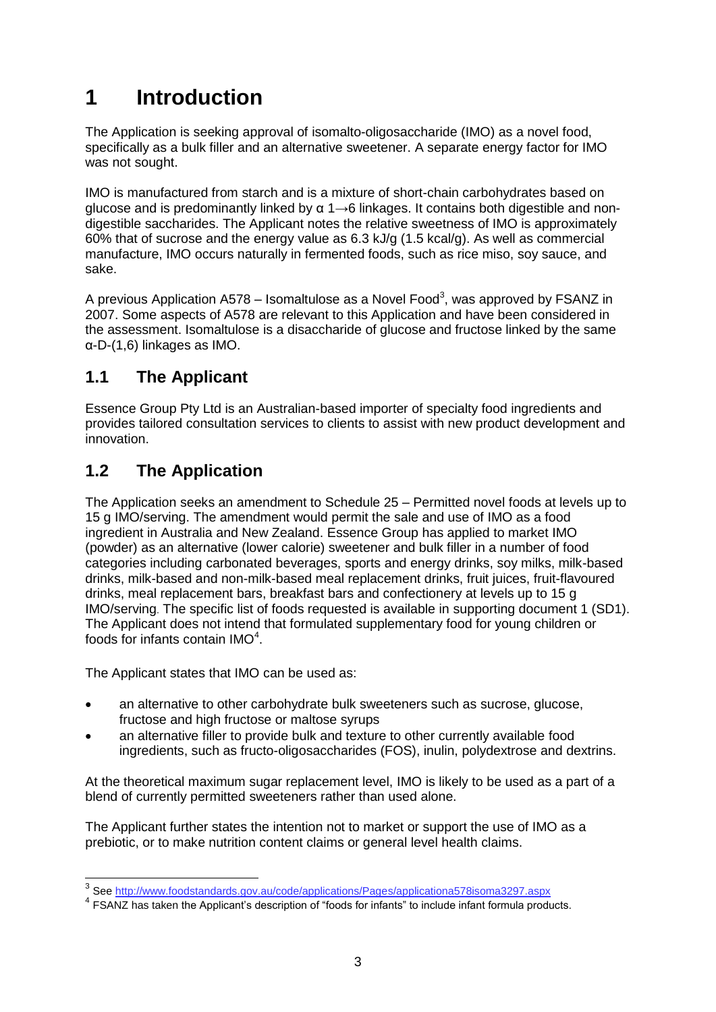# <span id="page-3-0"></span>**1 Introduction**

The Application is seeking approval of isomalto-oligosaccharide (IMO) as a novel food, specifically as a bulk filler and an alternative sweetener. A separate energy factor for IMO was not sought.

IMO is manufactured from starch and is a mixture of short-chain [carbohydrates](https://en.wikipedia.org/wiki/Carbohydrate) based on glucose and is predominantly linked by  $\alpha$  1→6 linkages. It contains both digestible and nondigestible saccharides. The Applicant notes the relative sweetness of IMO is approximately 60% that of sucrose and the energy value as 6.3 kJ/g (1.5 kcal/g). As well as commercial manufacture, IMO occurs naturally in fermented foods, such as rice miso, soy sauce, and sake.

<span id="page-3-3"></span>A previous Application A578 – Isomaltulose as a Novel Food<sup>3</sup>, was approved by FSANZ in 2007. Some aspects of A578 are relevant to this Application and have been considered in the assessment. Isomaltulose is a disaccharide of glucose and fructose linked by the same α-D-(1,6) linkages as IMO.

# <span id="page-3-1"></span>**1.1 The Applicant**

Essence Group Pty Ltd is an Australian-based importer of specialty food ingredients and provides tailored consultation services to clients to assist with new product development and innovation.

# <span id="page-3-2"></span>**1.2 The Application**

The Application seeks an amendment to Schedule 25 – Permitted novel foods at levels up to 15 g IMO/serving. The amendment would permit the sale and use of IMO as a food ingredient in Australia and New Zealand. Essence Group has applied to market IMO (powder) as an alternative (lower calorie) sweetener and bulk filler in a number of food categories including carbonated beverages, sports and energy drinks, soy milks, milk-based drinks, milk-based and non-milk-based meal replacement drinks, fruit juices, fruit-flavoured drinks, meal replacement bars, breakfast bars and confectionery at levels up to 15 g IMO/serving. The specific list of foods requested is available in supporting document 1 (SD1). The Applicant does not intend that formulated supplementary food for young children or foods for infants contain IMO $4$ .

The Applicant states that IMO can be used as:

- an alternative to other carbohydrate bulk sweeteners such as sucrose, glucose, fructose and high fructose or maltose syrups
- an alternative filler to provide bulk and texture to other currently available food ingredients, such as fructo-oligosaccharides (FOS), inulin, polydextrose and dextrins.

At the theoretical maximum sugar replacement level, IMO is likely to be used as a part of a blend of currently permitted sweeteners rather than used alone.

The Applicant further states the intention not to market or support the use of IMO as a prebiotic, or to make nutrition content claims or general level health claims.

 3 See<http://www.foodstandards.gov.au/code/applications/Pages/applicationa578isoma3297.aspx>

<sup>&</sup>lt;sup>4</sup> FSANZ has taken the Applicant's description of "foods for infants" to include infant formula products.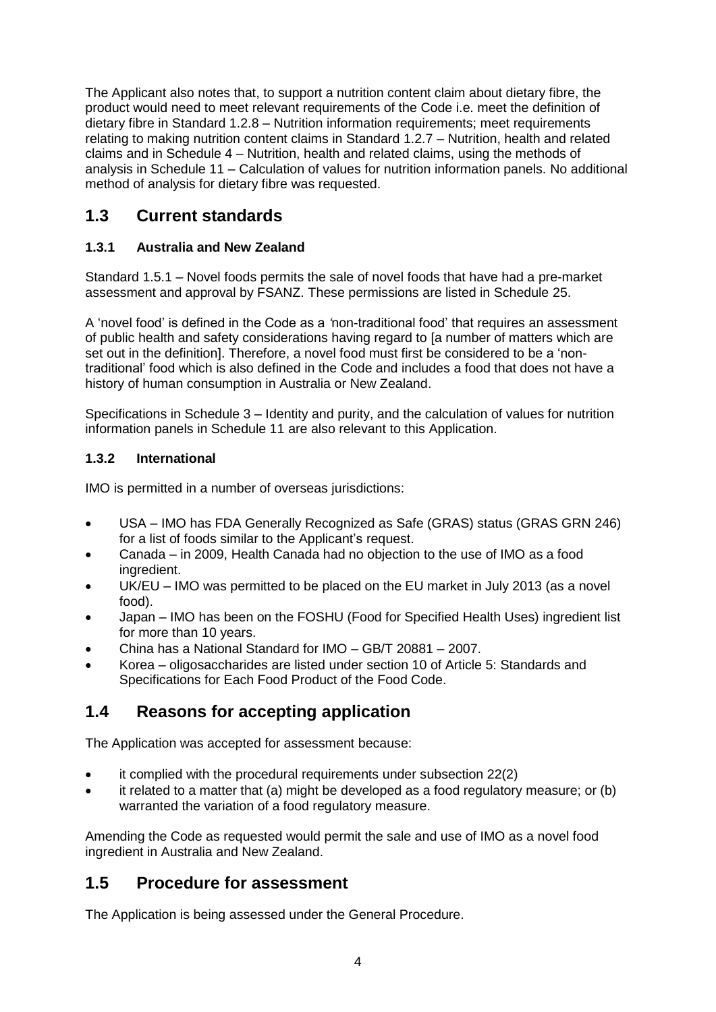The Applicant also notes that, to support a nutrition content claim about dietary fibre, the product would need to meet relevant requirements of the Code i.e. meet the definition of dietary fibre in Standard 1.2.8 – Nutrition information requirements; meet requirements relating to making nutrition content claims in Standard 1.2.7 – Nutrition, health and related claims and in Schedule 4 – Nutrition, health and related claims, using the methods of analysis in Schedule 11 – Calculation of values for nutrition information panels. No additional method of analysis for dietary fibre was requested.

# <span id="page-4-0"></span>**1.3 Current standards**

### <span id="page-4-1"></span>**1.3.1 Australia and New Zealand**

Standard 1.5.1 – Novel foods permits the sale of novel foods that have had a pre-market assessment and approval by FSANZ. These permissions are listed in Schedule 25.

A 'novel food' is defined in the Code as a *'*non-traditional food' that requires an assessment of public health and safety considerations having regard to [a number of matters which are set out in the definition]. Therefore, a novel food must first be considered to be a 'nontraditional' food which is also defined in the Code and includes a food that does not have a history of human consumption in Australia or New Zealand.

Specifications in Schedule 3 – Identity and purity, and the calculation of values for nutrition information panels in Schedule 11 are also relevant to this Application.

#### <span id="page-4-2"></span>**1.3.2 International**

IMO is permitted in a number of overseas jurisdictions:

- USA IMO has FDA Generally Recognized as Safe (GRAS) status (GRAS GRN 246) for a list of foods similar to the Applicant's request.
- Canada in 2009, Health Canada had no objection to the use of IMO as a food ingredient.
- UK/EU IMO was permitted to be placed on the EU market in July 2013 (as a novel food).
- Japan IMO has been on the FOSHU (Food for Specified Health Uses) ingredient list for more than 10 years.
- China has a National Standard for IMO GB/T 20881 2007.
- Korea oligosaccharides are listed under section 10 of Article 5: Standards and Specifications for Each Food Product of the Food Code.

# <span id="page-4-3"></span>**1.4 Reasons for accepting application**

The Application was accepted for assessment because:

- it complied with the procedural requirements under subsection 22(2)
- it related to a matter that (a) might be developed as a food regulatory measure; or (b) warranted the variation of a food regulatory measure.

Amending the Code as requested would permit the sale and use of IMO as a novel food ingredient in Australia and New Zealand.

# <span id="page-4-4"></span>**1.5 Procedure for assessment**

The Application is being assessed under the General Procedure.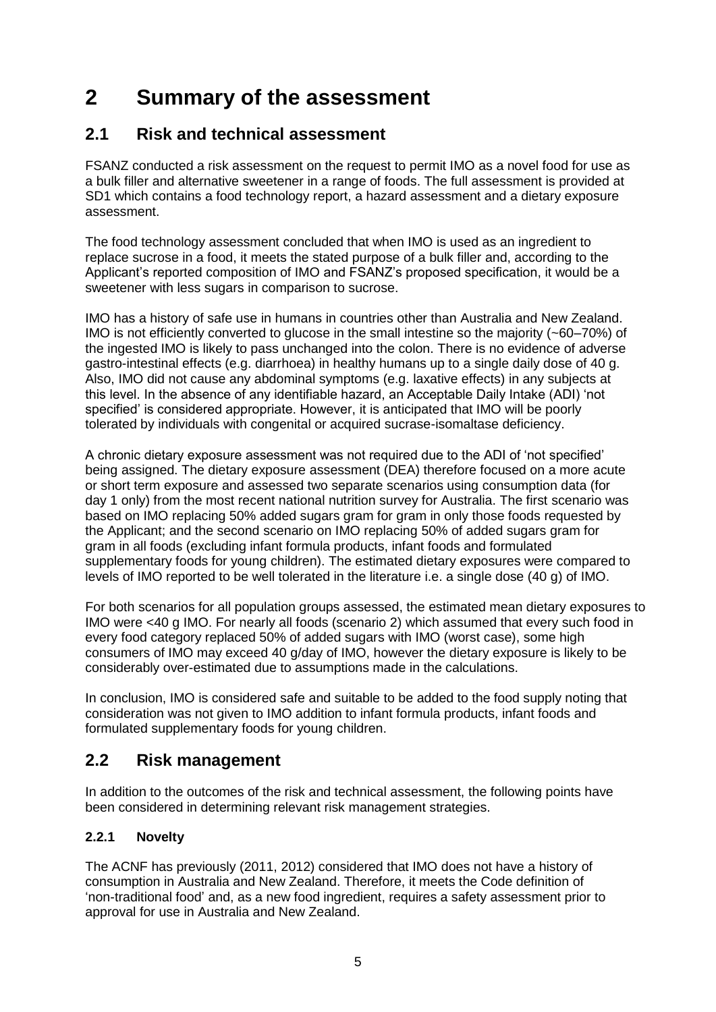# <span id="page-5-0"></span>**2 Summary of the assessment**

# <span id="page-5-1"></span>**2.1 Risk and technical assessment**

FSANZ conducted a risk assessment on the request to permit IMO as a novel food for use as a bulk filler and alternative sweetener in a range of foods. The full assessment is provided at SD1 which contains a food technology report, a hazard assessment and a dietary exposure assessment.

The food technology assessment concluded that when IMO is used as an ingredient to replace sucrose in a food, it meets the stated purpose of a bulk filler and, according to the Applicant's reported composition of IMO and FSANZ's proposed specification, it would be a sweetener with less sugars in comparison to sucrose.

IMO has a history of safe use in humans in countries other than Australia and New Zealand. IMO is not efficiently converted to glucose in the small intestine so the majority (~60–70%) of the ingested IMO is likely to pass unchanged into the colon. There is no evidence of adverse gastro-intestinal effects (e.g. diarrhoea) in healthy humans up to a single daily dose of 40 g. Also, IMO did not cause any abdominal symptoms (e.g. laxative effects) in any subjects at this level. In the absence of any identifiable hazard, an Acceptable Daily Intake (ADI) 'not specified' is considered appropriate. However, it is anticipated that IMO will be poorly tolerated by individuals with congenital or acquired sucrase-isomaltase deficiency.

A chronic dietary exposure assessment was not required due to the ADI of 'not specified' being assigned. The dietary exposure assessment (DEA) therefore focused on a more acute or short term exposure and assessed two separate scenarios using consumption data (for day 1 only) from the most recent national nutrition survey for Australia. The first scenario was based on IMO replacing 50% added sugars gram for gram in only those foods requested by the Applicant; and the second scenario on IMO replacing 50% of added sugars gram for gram in all foods (excluding infant formula products, infant foods and formulated supplementary foods for young children). The estimated dietary exposures were compared to levels of IMO reported to be well tolerated in the literature i.e. a single dose (40 g) of IMO.

For both scenarios for all population groups assessed, the estimated mean dietary exposures to IMO were <40 g IMO. For nearly all foods (scenario 2) which assumed that every such food in every food category replaced 50% of added sugars with IMO (worst case), some high consumers of IMO may exceed 40 g/day of IMO, however the dietary exposure is likely to be considerably over-estimated due to assumptions made in the calculations.

In conclusion, IMO is considered safe and suitable to be added to the food supply noting that consideration was not given to IMO addition to infant formula products, infant foods and formulated supplementary foods for young children.

# <span id="page-5-2"></span>**2.2 Risk management**

In addition to the outcomes of the risk and technical assessment, the following points have been considered in determining relevant risk management strategies.

### <span id="page-5-3"></span>**2.2.1 Novelty**

The ACNF has previously (2011, 2012) considered that IMO does not have a history of consumption in Australia and New Zealand. Therefore, it meets the Code definition of 'non-traditional food' and, as a new food ingredient, requires a safety assessment prior to approval for use in Australia and New Zealand.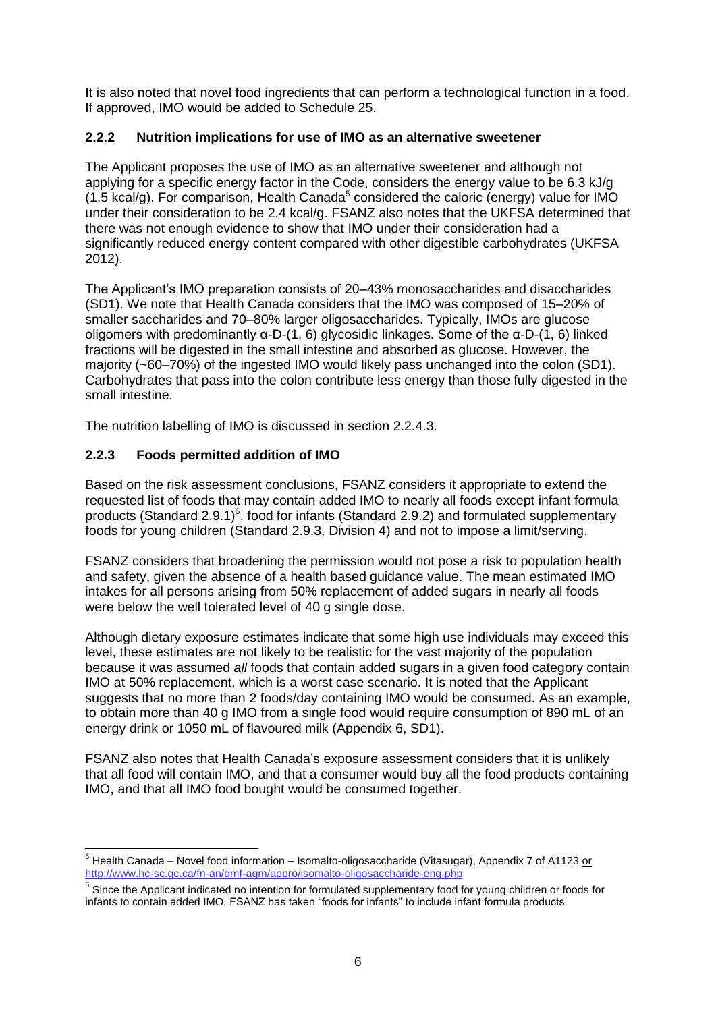It is also noted that novel food ingredients that can perform a technological function in a food. If approved, IMO would be added to Schedule 25.

#### <span id="page-6-0"></span>**2.2.2 Nutrition implications for use of IMO as an alternative sweetener**

The Applicant proposes the use of IMO as an alternative sweetener and although not applying for a specific energy factor in the Code, considers the energy value to be 6.3 kJ/g  $(1.5 \text{ kcal/g})$ . For comparison, Health Canada<sup>5</sup> considered the caloric (energy) value for IMO under their consideration to be 2.4 kcal/g. FSANZ also notes that the UKFSA determined that there was not enough evidence to show that IMO under their consideration had a significantly reduced energy content compared with other digestible carbohydrates (UKFSA 2012).

The Applicant's IMO preparation consists of 20–43% monosaccharides and disaccharides (SD1). We note that Health Canada considers that the IMO was composed of 15–20% of smaller saccharides and 70–80% larger oligosaccharides. Typically, IMOs are glucose oligomers with predominantly α-D-(1, 6) glycosidic linkages. Some of the α-D-(1, 6) linked fractions will be digested in the small intestine and absorbed as glucose. However, the majority (~60–70%) of the ingested IMO would likely pass unchanged into the colon (SD1). Carbohydrates that pass into the colon contribute less energy than those fully digested in the small intestine.

The nutrition labelling of IMO is discussed in section 2.2.4.3.

#### <span id="page-6-1"></span>**2.2.3 Foods permitted addition of IMO**

Based on the risk assessment conclusions, FSANZ considers it appropriate to extend the requested list of foods that may contain added IMO to nearly all foods except infant formula products (Standard 2.9.1) $^6$ , food for infants (Standard 2.9.2) and formulated supplementary foods for young children (Standard 2.9.3, Division 4) and not to impose a limit/serving.

FSANZ considers that broadening the permission would not pose a risk to population health and safety, given the absence of a health based guidance value. The mean estimated IMO intakes for all persons arising from 50% replacement of added sugars in nearly all foods were below the well tolerated level of 40 g single dose.

Although dietary exposure estimates indicate that some high use individuals may exceed this level, these estimates are not likely to be realistic for the vast majority of the population because it was assumed *all* foods that contain added sugars in a given food category contain IMO at 50% replacement, which is a worst case scenario. It is noted that the Applicant suggests that no more than 2 foods/day containing IMO would be consumed. As an example, to obtain more than 40 g IMO from a single food would require consumption of 890 mL of an energy drink or 1050 mL of flavoured milk (Appendix 6, SD1).

FSANZ also notes that Health Canada's exposure assessment considers that it is unlikely that all food will contain IMO, and that a consumer would buy all the food products containing IMO, and that all IMO food bought would be consumed together.

 <sup>5</sup> Health Canada – Novel food information – Isomalto-oligosaccharide (Vitasugar), Appendix 7 of A1123 <u>or</u> <http://www.hc-sc.gc.ca/fn-an/gmf-agm/appro/isomalto-oligosaccharide-eng.php>

 $^6$  Since the Applicant indicated no intention for formulated supplementary food for young children or foods for infants to contain added IMO, FSANZ has taken "foods for infants" to include infant formula products.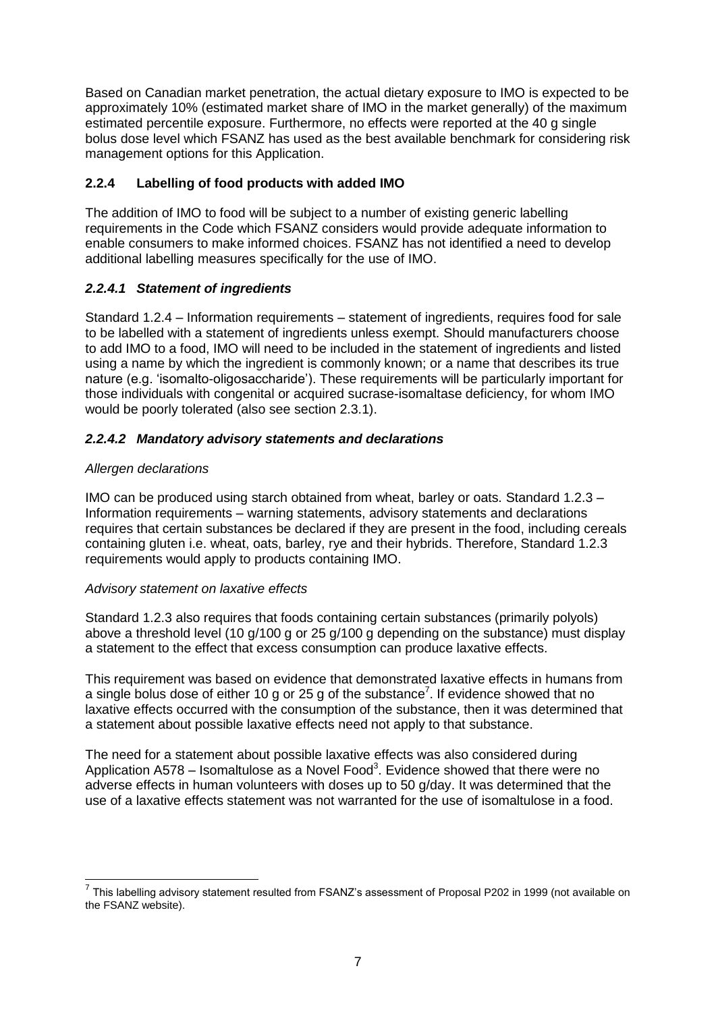Based on Canadian market penetration, the actual dietary exposure to IMO is expected to be approximately 10% (estimated market share of IMO in the market generally) of the maximum estimated percentile exposure. Furthermore, no effects were reported at the 40 g single bolus dose level which FSANZ has used as the best available benchmark for considering risk management options for this Application.

#### <span id="page-7-0"></span>**2.2.4 Labelling of food products with added IMO**

The addition of IMO to food will be subject to a number of existing generic labelling requirements in the Code which FSANZ considers would provide adequate information to enable consumers to make informed choices. FSANZ has not identified a need to develop additional labelling measures specifically for the use of IMO.

#### <span id="page-7-1"></span>*2.2.4.1 Statement of ingredients*

Standard 1.2.4 – Information requirements – statement of ingredients, requires food for sale to be labelled with a statement of ingredients unless exempt. Should manufacturers choose to add IMO to a food, IMO will need to be included in the statement of ingredients and listed using a name by which the ingredient is commonly known; or a name that describes its true nature (e.g. 'isomalto-oligosaccharide'). These requirements will be particularly important for those individuals with congenital or acquired sucrase-isomaltase deficiency, for whom IMO would be poorly tolerated (also see section 2.3.1).

#### *2.2.4.2 Mandatory advisory statements and declarations*

#### *Allergen declarations*

 $\overline{a}$ 

IMO can be produced using starch obtained from wheat, barley or oats. Standard 1.2.3 – Information requirements – warning statements, advisory statements and declarations requires that certain substances be declared if they are present in the food, including cereals containing gluten i.e. wheat, oats, barley, rye and their hybrids. Therefore, Standard 1.2.3 requirements would apply to products containing IMO.

#### *Advisory statement on laxative effects*

Standard 1.2.3 also requires that foods containing certain substances (primarily polyols) above a threshold level (10 g/100 g or 25 g/100 g depending on the substance) must display a statement to the effect that excess consumption can produce laxative effects.

This requirement was based on evidence that demonstrated laxative effects in humans from a single bolus dose of either 10 g or 25 g of the substance<sup>7</sup>. If evidence showed that no laxative effects occurred with the consumption of the substance, then it was determined that a statement about possible laxative effects need not apply to that substance.

The need for a statement about possible laxative effects was also considered during Application A578 – Isomaltulose as a Novel Foo[d](#page-3-3)<sup>3</sup>. Evidence showed that there were no adverse effects in human volunteers with doses up to 50 g/day. It was determined that the use of a laxative effects statement was not warranted for the use of isomaltulose in a food.

 $^7$  This labelling advisory statement resulted from FSANZ's assessment of Proposal P202 in 1999 (not available on the FSANZ website).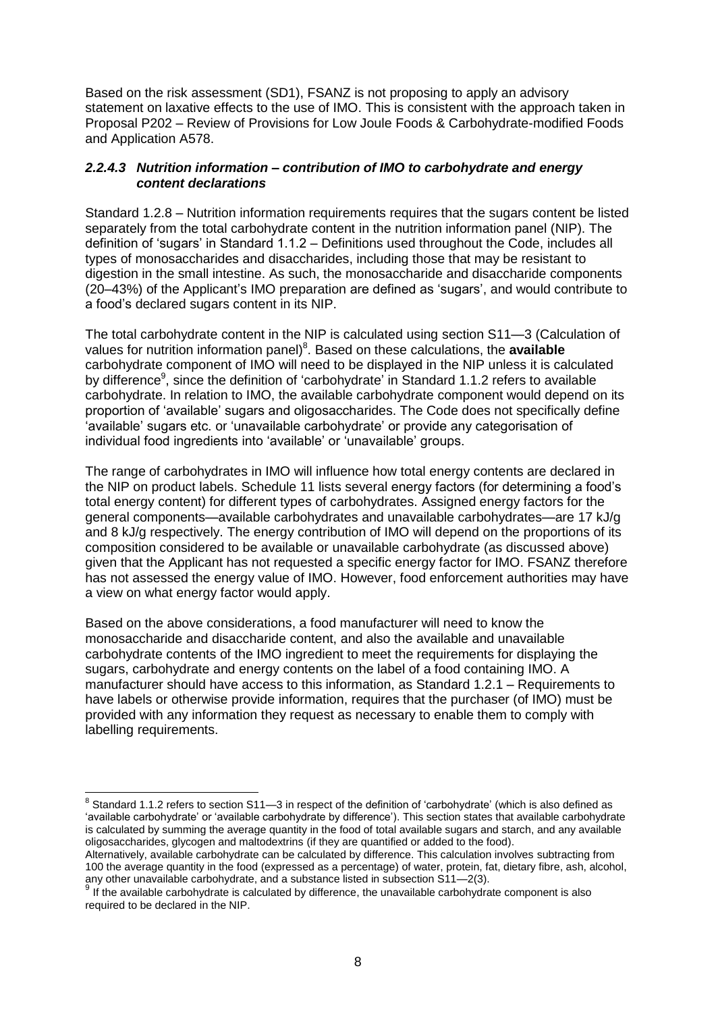Based on the risk assessment (SD1), FSANZ is not proposing to apply an advisory statement on laxative effects to the use of IMO. This is consistent with the approach taken in Proposal P202 – Review of Provisions for Low Joule Foods & Carbohydrate-modified Foods and Application A578.

#### *2.2.4.3 Nutrition information – contribution of IMO to carbohydrate and energy content declarations*

Standard 1.2.8 – Nutrition information requirements requires that the sugars content be listed separately from the total carbohydrate content in the nutrition information panel (NIP). The definition of 'sugars' in Standard 1.1.2 – Definitions used throughout the Code, includes all types of monosaccharides and disaccharides, including those that may be resistant to digestion in the small intestine. As such, the monosaccharide and disaccharide components (20–43%) of the Applicant's IMO preparation are defined as 'sugars', and would contribute to a food's declared sugars content in its NIP.

The total carbohydrate content in the NIP is calculated using section S11—3 (Calculation of values for nutrition information panel) 8 . Based on these calculations, the **available** carbohydrate component of IMO will need to be displayed in the NIP unless it is calculated by difference<sup>9</sup>, since the definition of 'carbohydrate' in Standard 1.1.2 refers to available carbohydrate. In relation to IMO, the available carbohydrate component would depend on its proportion of 'available' sugars and oligosaccharides. The Code does not specifically define 'available' sugars etc. or 'unavailable carbohydrate' or provide any categorisation of individual food ingredients into 'available' or 'unavailable' groups.

The range of carbohydrates in IMO will influence how total energy contents are declared in the NIP on product labels. Schedule 11 lists several energy factors (for determining a food's total energy content) for different types of carbohydrates. Assigned energy factors for the general components—available carbohydrates and unavailable carbohydrates—are 17 kJ/g and 8 kJ/g respectively. The energy contribution of IMO will depend on the proportions of its composition considered to be available or unavailable carbohydrate (as discussed above) given that the Applicant has not requested a specific energy factor for IMO. FSANZ therefore has not assessed the energy value of IMO. However, food enforcement authorities may have a view on what energy factor would apply.

Based on the above considerations, a food manufacturer will need to know the monosaccharide and disaccharide content, and also the available and unavailable carbohydrate contents of the IMO ingredient to meet the requirements for displaying the sugars, carbohydrate and energy contents on the label of a food containing IMO. A manufacturer should have access to this information, as Standard 1.2.1 – Requirements to have labels or otherwise provide information, requires that the purchaser (of IMO) must be provided with any information they request as necessary to enable them to comply with labelling requirements.

 8 Standard 1.1.2 refers to section S11—3 in respect of the definition of 'carbohydrate' (which is also defined as 'available carbohydrate' or 'available carbohydrate by difference'). This section states that available carbohydrate is calculated by summing the average quantity in the food of total available sugars and starch, and any available oligosaccharides, glycogen and maltodextrins (if they are quantified or added to the food).

Alternatively, available carbohydrate can be calculated by difference. This calculation involves subtracting from 100 the average quantity in the food (expressed as a percentage) of water, protein, fat, dietary fibre, ash, alcohol, any other unavailable carbohydrate, and a substance listed in subsection S11—2(3).

 $9$  If the available carbohydrate is calculated by difference, the unavailable carbohydrate component is also required to be declared in the NIP.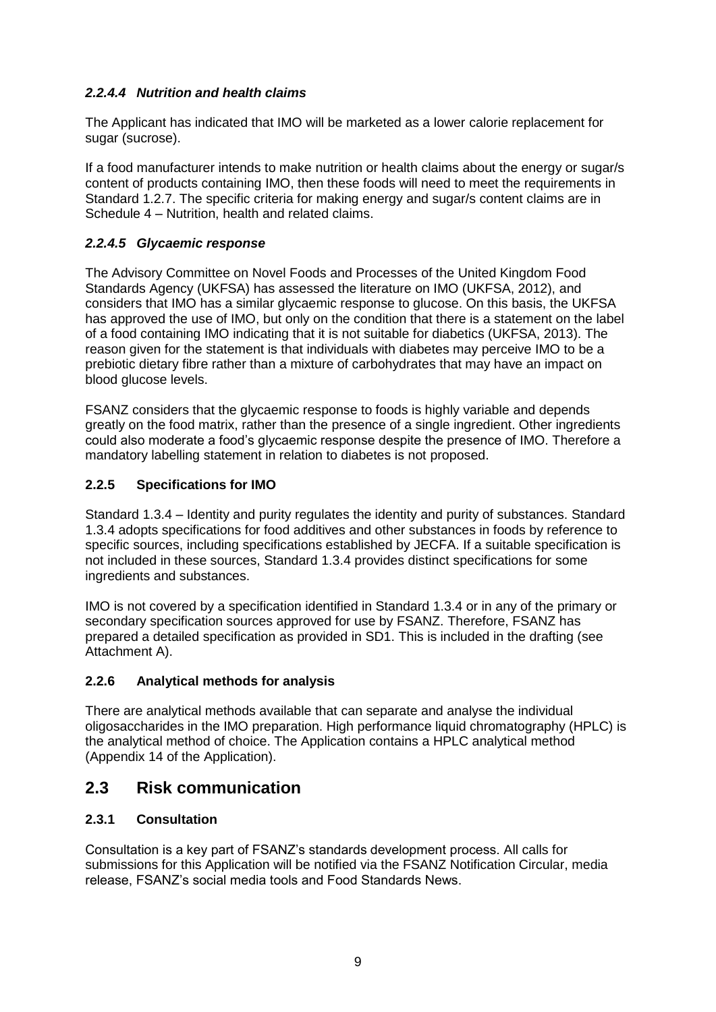#### *2.2.4.4 Nutrition and health claims*

The Applicant has indicated that IMO will be marketed as a lower calorie replacement for sugar (sucrose).

If a food manufacturer intends to make nutrition or health claims about the energy or sugar/s content of products containing IMO, then these foods will need to meet the requirements in Standard 1.2.7. The specific criteria for making energy and sugar/s content claims are in Schedule 4 – Nutrition, health and related claims.

#### *2.2.4.5 Glycaemic response*

The Advisory Committee on Novel Foods and Processes of the United Kingdom Food Standards Agency (UKFSA) has assessed the literature on IMO (UKFSA, 2012), and considers that IMO has a similar glycaemic response to glucose. On this basis, the UKFSA has approved the use of IMO, but only on the condition that there is a statement on the label of a food containing IMO indicating that it is not suitable for diabetics (UKFSA, 2013). The reason given for the statement is that individuals with diabetes may perceive IMO to be a prebiotic dietary fibre rather than a mixture of carbohydrates that may have an impact on blood glucose levels.

FSANZ considers that the glycaemic response to foods is highly variable and depends greatly on the food matrix, rather than the presence of a single ingredient. Other ingredients could also moderate a food's glycaemic response despite the presence of IMO. Therefore a mandatory labelling statement in relation to diabetes is not proposed.

#### <span id="page-9-0"></span>**2.2.5 Specifications for IMO**

Standard 1.3.4 – Identity and purity regulates the identity and purity of substances. Standard 1.3.4 adopts specifications for food additives and other substances in foods by reference to specific sources, including specifications established by JECFA. If a suitable specification is not included in these sources, Standard 1.3.4 provides distinct specifications for some ingredients and substances.

IMO is not covered by a specification identified in Standard 1.3.4 or in any of the primary or secondary specification sources approved for use by FSANZ. Therefore, FSANZ has prepared a detailed specification as provided in SD1. This is included in the drafting (see Attachment A).

#### <span id="page-9-1"></span>**2.2.6 Analytical methods for analysis**

There are analytical methods available that can separate and analyse the individual oligosaccharides in the IMO preparation. High performance liquid chromatography (HPLC) is the analytical method of choice. The Application contains a HPLC analytical method (Appendix 14 of the Application).

# <span id="page-9-2"></span>**2.3 Risk communication**

#### <span id="page-9-3"></span>**2.3.1 Consultation**

Consultation is a key part of FSANZ's standards development process. All calls for submissions for this Application will be notified via the FSANZ Notification Circular, media release, FSANZ's social media tools and Food Standards News.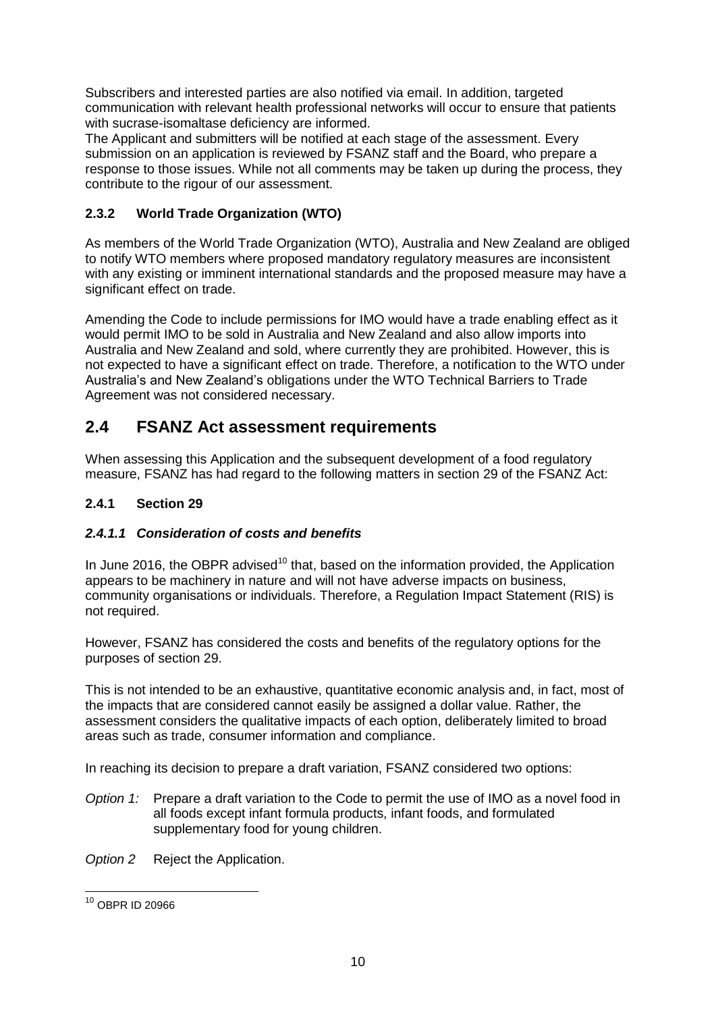Subscribers and interested parties are also notified via email. In addition, targeted communication with relevant health professional networks will occur to ensure that patients with sucrase-isomaltase deficiency are informed.

The Applicant and submitters will be notified at each stage of the assessment. Every submission on an application is reviewed by FSANZ staff and the Board, who prepare a response to those issues. While not all comments may be taken up during the process, they contribute to the rigour of our assessment.

### <span id="page-10-0"></span>**2.3.2 World Trade Organization (WTO)**

As members of the World Trade Organization (WTO), Australia and New Zealand are obliged to notify WTO members where proposed mandatory regulatory measures are inconsistent with any existing or imminent international standards and the proposed measure may have a significant effect on trade.

Amending the Code to include permissions for IMO would have a trade enabling effect as it would permit IMO to be sold in Australia and New Zealand and also allow imports into Australia and New Zealand and sold, where currently they are prohibited. However, this is not expected to have a significant effect on trade. Therefore, a notification to the WTO under Australia's and New Zealand's obligations under the WTO Technical Barriers to Trade Agreement was not considered necessary.

# <span id="page-10-1"></span>**2.4 FSANZ Act assessment requirements**

When assessing this Application and the subsequent development of a food regulatory measure, FSANZ has had regard to the following matters in section 29 of the FSANZ Act:

#### <span id="page-10-2"></span>**2.4.1 Section 29**

#### *2.4.1.1 Consideration of costs and benefits*

In June 2016, the OBPR advised<sup>10</sup> that, based on the information provided, the Application appears to be machinery in nature and will not have adverse impacts on business, community organisations or individuals. Therefore, a Regulation Impact Statement (RIS) is not required.

However, FSANZ has considered the costs and benefits of the regulatory options for the purposes of section 29.

This is not intended to be an exhaustive, quantitative economic analysis and, in fact, most of the impacts that are considered cannot easily be assigned a dollar value. Rather, the assessment considers the qualitative impacts of each option, deliberately limited to broad areas such as trade, consumer information and compliance.

In reaching its decision to prepare a draft variation, FSANZ considered two options:

*Option 1:* Prepare a draft variation to the Code to permit the use of IMO as a novel food in all foods except infant formula products, infant foods, and formulated supplementary food for young children.

*Option 2* Reject the Application.

 <sup>10</sup> OBPR ID 20966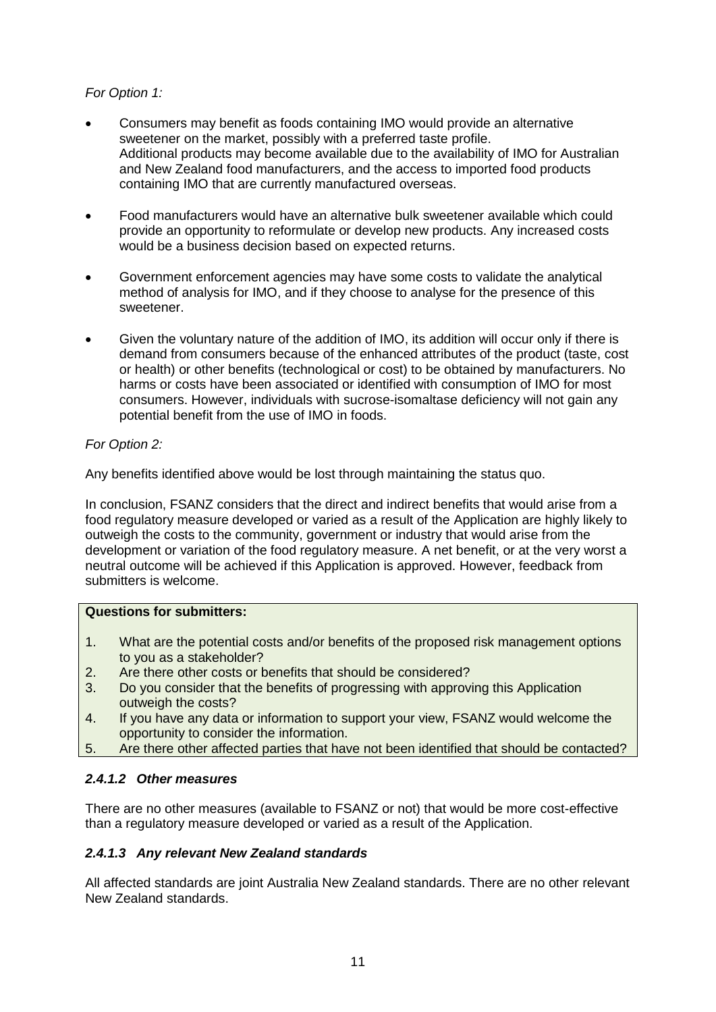#### *For Option 1:*

- Consumers may benefit as foods containing IMO would provide an alternative sweetener on the market, possibly with a preferred taste profile. Additional products may become available due to the availability of IMO for Australian and New Zealand food manufacturers, and the access to imported food products containing IMO that are currently manufactured overseas.
- Food manufacturers would have an alternative bulk sweetener available which could provide an opportunity to reformulate or develop new products. Any increased costs would be a business decision based on expected returns.
- Government enforcement agencies may have some costs to validate the analytical method of analysis for IMO, and if they choose to analyse for the presence of this sweetener.
- Given the voluntary nature of the addition of IMO, its addition will occur only if there is demand from consumers because of the enhanced attributes of the product (taste, cost or health) or other benefits (technological or cost) to be obtained by manufacturers. No harms or costs have been associated or identified with consumption of IMO for most consumers. However, individuals with sucrose-isomaltase deficiency will not gain any potential benefit from the use of IMO in foods.

#### *For Option 2:*

Any benefits identified above would be lost through maintaining the status quo.

In conclusion, FSANZ considers that the direct and indirect benefits that would arise from a food regulatory measure developed or varied as a result of the Application are highly likely to outweigh the costs to the community, government or industry that would arise from the development or variation of the food regulatory measure. A net benefit, or at the very worst a neutral outcome will be achieved if this Application is approved. However, feedback from submitters is welcome.

#### **Questions for submitters:**

- 1. What are the potential costs and/or benefits of the proposed risk management options to you as a stakeholder?
- 2. Are there other costs or benefits that should be considered?
- 3. Do you consider that the benefits of progressing with approving this Application outweigh the costs?
- 4. If you have any data or information to support your view, FSANZ would welcome the opportunity to consider the information.
- 5. Are there other affected parties that have not been identified that should be contacted?

#### *2.4.1.2 Other measures*

There are no other measures (available to FSANZ or not) that would be more cost-effective than a regulatory measure developed or varied as a result of the Application.

#### *2.4.1.3 Any relevant New Zealand standards*

All affected standards are joint Australia New Zealand standards. There are no other relevant New Zealand standards.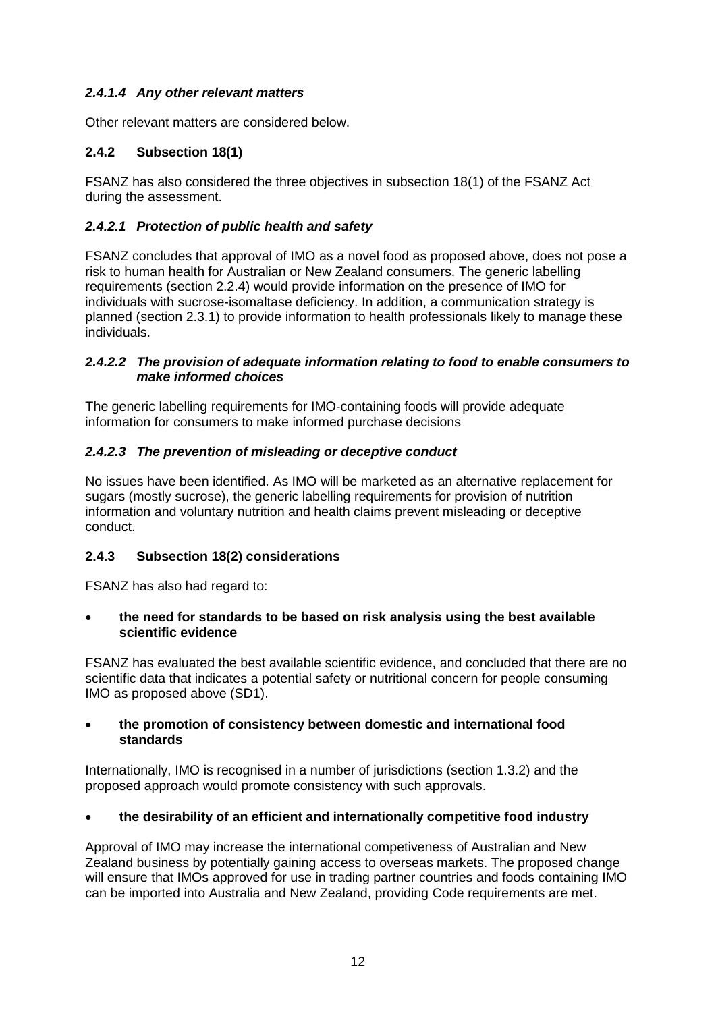#### *2.4.1.4 Any other relevant matters*

Other relevant matters are considered below.

#### <span id="page-12-0"></span>**2.4.2 Subsection 18(1)**

FSANZ has also considered the three objectives in subsection 18(1) of the FSANZ Act during the assessment.

#### *2.4.2.1 Protection of public health and safety*

FSANZ concludes that approval of IMO as a novel food as proposed above, does not pose a risk to human health for Australian or New Zealand consumers. The generic labelling requirements (section 2.2.4) would provide information on the presence of IMO for individuals with sucrose-isomaltase deficiency. In addition, a communication strategy is planned (section 2.3.1) to provide information to health professionals likely to manage these individuals.

#### *2.4.2.2 The provision of adequate information relating to food to enable consumers to make informed choices*

The generic labelling requirements for IMO-containing foods will provide adequate information for consumers to make informed purchase decisions

#### *2.4.2.3 The prevention of misleading or deceptive conduct*

No issues have been identified. As IMO will be marketed as an alternative replacement for sugars (mostly sucrose), the generic labelling requirements for provision of nutrition information and voluntary nutrition and health claims prevent misleading or deceptive conduct.

#### <span id="page-12-1"></span>**2.4.3 Subsection 18(2) considerations**

FSANZ has also had regard to:

#### **the need for standards to be based on risk analysis using the best available scientific evidence**

FSANZ has evaluated the best available scientific evidence, and concluded that there are no scientific data that indicates a potential safety or nutritional concern for people consuming IMO as proposed above (SD1).

#### **the promotion of consistency between domestic and international food standards**

Internationally, IMO is recognised in a number of jurisdictions (section 1.3.2) and the proposed approach would promote consistency with such approvals.

#### **the desirability of an efficient and internationally competitive food industry**

Approval of IMO may increase the international competiveness of Australian and New Zealand business by potentially gaining access to overseas markets. The proposed change will ensure that IMOs approved for use in trading partner countries and foods containing IMO can be imported into Australia and New Zealand, providing Code requirements are met.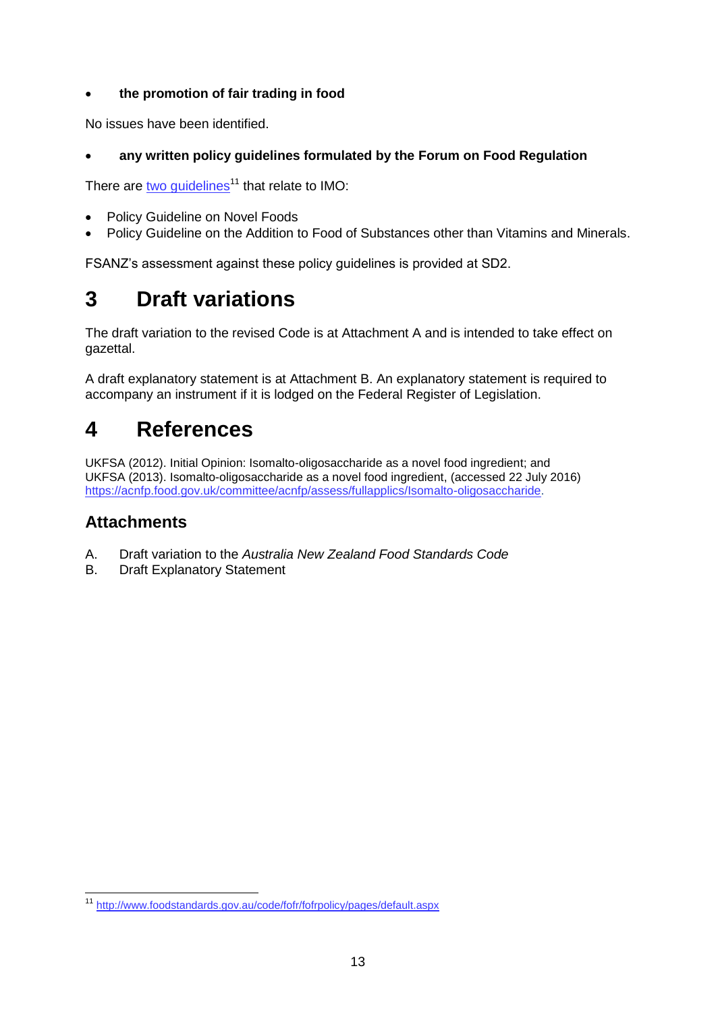#### **the promotion of fair trading in food**

No issues have been identified.

#### **any written policy guidelines formulated by the Forum on Food Regulation**

There are two quidelines<sup>11</sup> that relate to IMO:

- Policy Guideline on Novel Foods
- Policy Guideline on the Addition to Food of Substances other than Vitamins and Minerals.

FSANZ's assessment against these policy guidelines is provided at SD2.

# <span id="page-13-0"></span>**3 Draft variations**

The draft variation to the revised Code is at Attachment A and is intended to take effect on gazettal.

A draft explanatory statement is at Attachment B. An explanatory statement is required to accompany an instrument if it is lodged on the Federal Register of Legislation.

# <span id="page-13-1"></span>**4 References**

UKFSA (2012). Initial Opinion: Isomalto-oligosaccharide as a novel food ingredient; and UKFSA (2013). Isomalto-oligosaccharide as a novel food ingredient, (accessed 22 July 2016) [https://acnfp.food.gov.uk/committee/acnfp/assess/fullapplics/Isomalto-oligosaccharide.](https://acnfp.food.gov.uk/committee/acnfp/assess/fullapplics/Isomalto-oligosaccharide)

# **Attachments**

- A. Draft variation to the *Australia New Zealand Food Standards Code*
- B. Draft Explanatory Statement

 <sup>11</sup> <http://www.foodstandards.gov.au/code/fofr/fofrpolicy/pages/default.aspx>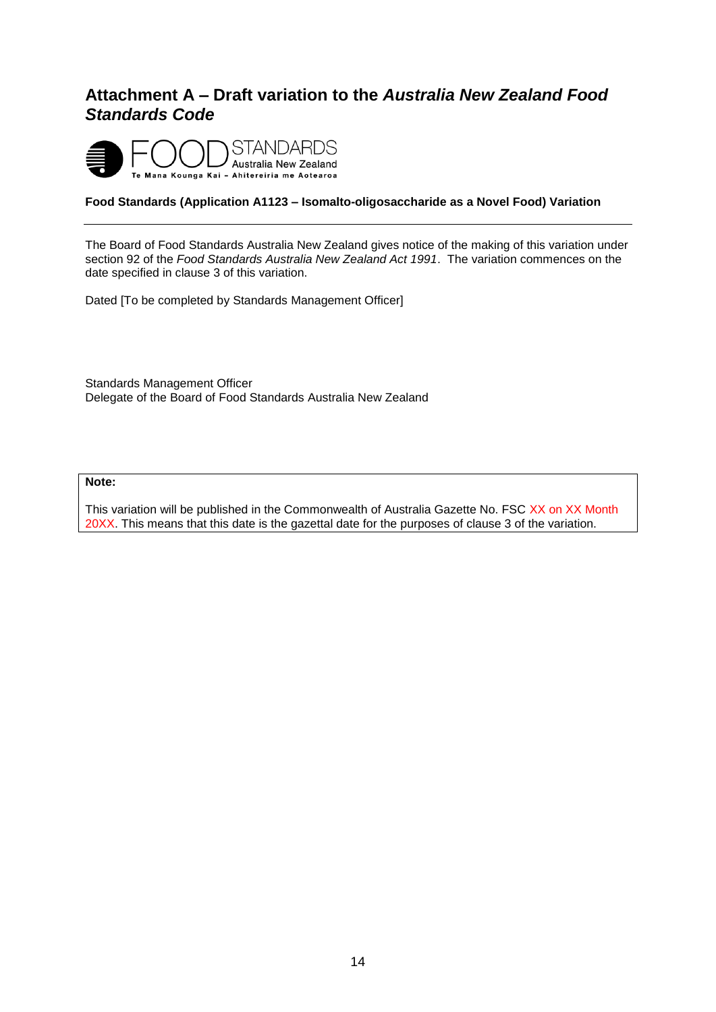# <span id="page-14-0"></span>**Attachment A – Draft variation to the** *Australia New Zealand Food Standards Code*



#### **Food Standards (Application A1123 – Isomalto-oligosaccharide as a Novel Food) Variation**

The Board of Food Standards Australia New Zealand gives notice of the making of this variation under section 92 of the *Food Standards Australia New Zealand Act 1991*. The variation commences on the date specified in clause 3 of this variation.

Dated [To be completed by Standards Management Officer]

Standards Management Officer Delegate of the Board of Food Standards Australia New Zealand

#### **Note:**

This variation will be published in the Commonwealth of Australia Gazette No. FSC XX on XX Month 20XX. This means that this date is the gazettal date for the purposes of clause 3 of the variation.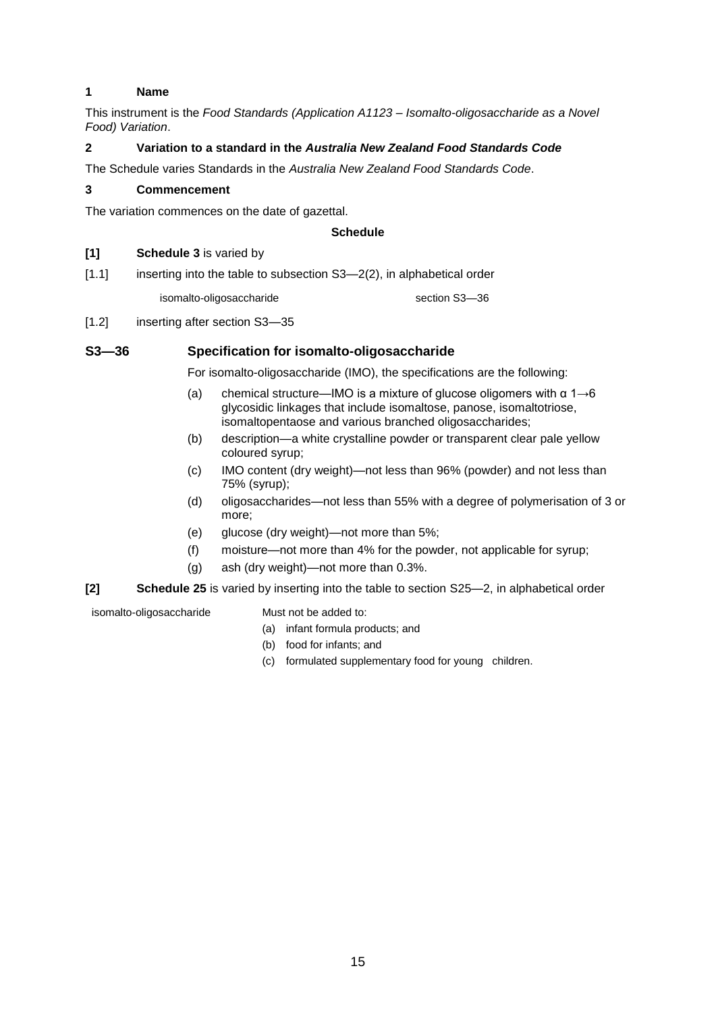#### **1 Name**

This instrument is the *Food Standards (Application A1123 – Isomalto-oligosaccharide as a Novel Food) Variation*.

#### **2 Variation to a standard in the** *Australia New Zealand Food Standards Code*

The Schedule varies Standards in the *Australia New Zealand Food Standards Code*.

#### **3 Commencement**

The variation commences on the date of gazettal.

#### **Schedule**

#### **[1] Schedule 3** is varied by

[1.1] inserting into the table to subsection S3-2(2), in alphabetical order

isomalto-oligosaccharide section S3-36

[1.2] inserting after section S3-35

#### **S3—36 Specification for isomalto-oligosaccharide**

For isomalto-oligosaccharide (IMO), the specifications are the following:

- (a) chemical structure—IMO is a mixture of glucose oligomers with  $\alpha$  1 $\rightarrow$ 6 glycosidic linkages that include isomaltose, panose, isomaltotriose, isomaltopentaose and various branched oligosaccharides;
- (b) description—a white crystalline powder or transparent clear pale yellow coloured syrup;
- (c) IMO content (dry weight)—not less than 96% (powder) and not less than 75% (syrup);
- (d) oligosaccharides—not less than 55% with a degree of polymerisation of 3 or more;
- (e) glucose (dry weight)—not more than 5%;
- (f) moisture—not more than 4% for the powder, not applicable for syrup;
- (g) ash (dry weight)—not more than 0.3%.

#### **[2] Schedule 25** is varied by inserting into the table to section S25—2, in alphabetical order

isomalto-oligosaccharide Must not be added to:

- (a) infant formula products; and
- (b) food for infants; and
- (c) formulated supplementary food for young children.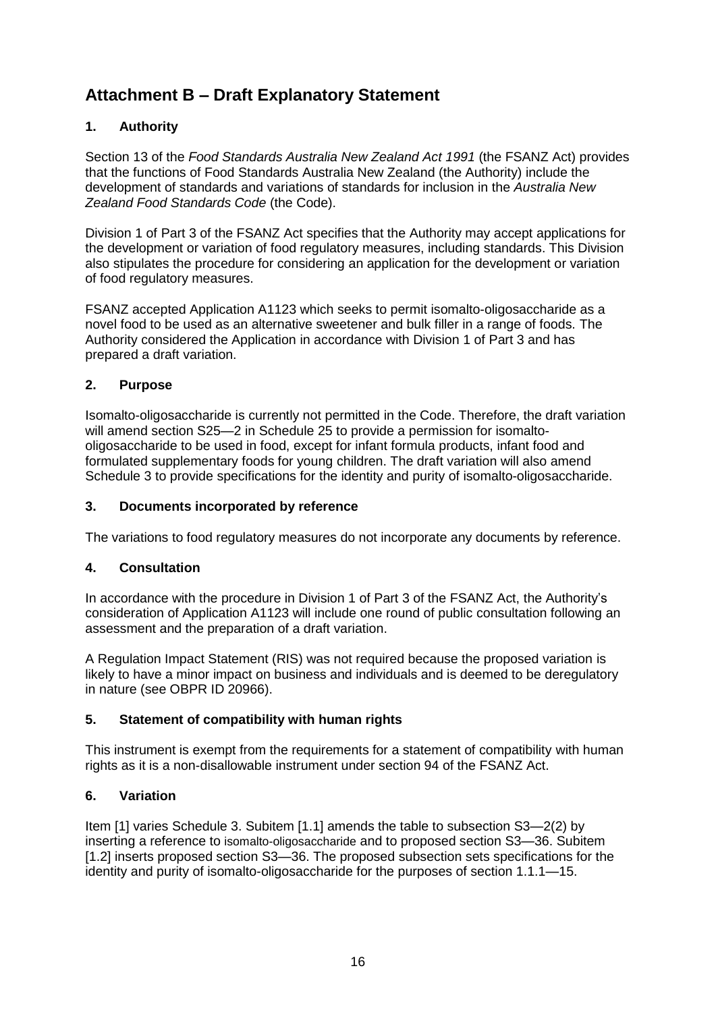# <span id="page-16-0"></span>**Attachment B – Draft Explanatory Statement**

#### **1. Authority**

Section 13 of the *Food Standards Australia New Zealand Act 1991* (the FSANZ Act) provides that the functions of Food Standards Australia New Zealand (the Authority) include the development of standards and variations of standards for inclusion in the *Australia New Zealand Food Standards Code* (the Code).

Division 1 of Part 3 of the FSANZ Act specifies that the Authority may accept applications for the development or variation of food regulatory measures, including standards. This Division also stipulates the procedure for considering an application for the development or variation of food regulatory measures.

FSANZ accepted Application A1123 which seeks to permit isomalto-oligosaccharide as a novel food to be used as an alternative sweetener and bulk filler in a range of foods. The Authority considered the Application in accordance with Division 1 of Part 3 and has prepared a draft variation.

#### **2. Purpose**

Isomalto-oligosaccharide is currently not permitted in the Code. Therefore, the draft variation will amend section S25—2 in Schedule 25 to provide a permission for isomaltooligosaccharide to be used in food, except for infant formula products, infant food and formulated supplementary foods for young children. The draft variation will also amend Schedule 3 to provide specifications for the identity and purity of isomalto-oligosaccharide.

#### **3. Documents incorporated by reference**

The variations to food regulatory measures do not incorporate any documents by reference.

#### **4. Consultation**

In accordance with the procedure in Division 1 of Part 3 of the FSANZ Act, the Authority's consideration of Application A1123 will include one round of public consultation following an assessment and the preparation of a draft variation.

A Regulation Impact Statement (RIS) was not required because the proposed variation is likely to have a minor impact on business and individuals and is deemed to be deregulatory in nature (see OBPR ID 20966).

#### **5. Statement of compatibility with human rights**

This instrument is exempt from the requirements for a statement of compatibility with human rights as it is a non-disallowable instrument under section 94 of the FSANZ Act.

#### **6. Variation**

Item [1] varies Schedule 3. Subitem [1.1] amends the table to subsection S3—2(2) by inserting a reference to isomalto-oligosaccharide and to proposed section S3—36. Subitem [1.2] inserts proposed section S3—36. The proposed subsection sets specifications for the identity and purity of isomalto-oligosaccharide for the purposes of section 1.1.1—15.